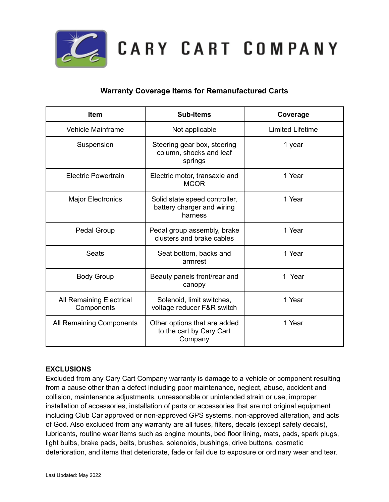

CARY CART COMPANY

## **Warranty Coverage Items for Remanufactured Carts**

| <b>Item</b>                            | <b>Sub-Items</b>                                                       | Coverage                |
|----------------------------------------|------------------------------------------------------------------------|-------------------------|
| Vehicle Mainframe                      | Not applicable                                                         | <b>Limited Lifetime</b> |
| Suspension                             | Steering gear box, steering<br>column, shocks and leaf<br>springs      | 1 year                  |
| Electric Powertrain                    | Electric motor, transaxle and<br><b>MCOR</b>                           | 1 Year                  |
| <b>Major Electronics</b>               | Solid state speed controller,<br>battery charger and wiring<br>harness | 1 Year                  |
| <b>Pedal Group</b>                     | Pedal group assembly, brake<br>clusters and brake cables               | 1 Year                  |
| <b>Seats</b>                           | Seat bottom, backs and<br>armrest                                      | 1 Year                  |
| <b>Body Group</b>                      | Beauty panels front/rear and<br>canopy                                 | 1 Year                  |
| All Remaining Electrical<br>Components | Solenoid, limit switches,<br>voltage reducer F&R switch                | 1 Year                  |
| All Remaining Components               | Other options that are added<br>to the cart by Cary Cart<br>Company    | 1 Year                  |

## **EXCLUSIONS**

Excluded from any Cary Cart Company warranty is damage to a vehicle or component resulting from a cause other than a defect including poor maintenance, neglect, abuse, accident and collision, maintenance adjustments, unreasonable or unintended strain or use, improper installation of accessories, installation of parts or accessories that are not original equipment including Club Car approved or non-approved GPS systems, non-approved alteration, and acts of God. Also excluded from any warranty are all fuses, filters, decals (except safety decals), lubricants, routine wear items such as engine mounts, bed floor lining, mats, pads, spark plugs, light bulbs, brake pads, belts, brushes, solenoids, bushings, drive buttons, cosmetic deterioration, and items that deteriorate, fade or fail due to exposure or ordinary wear and tear.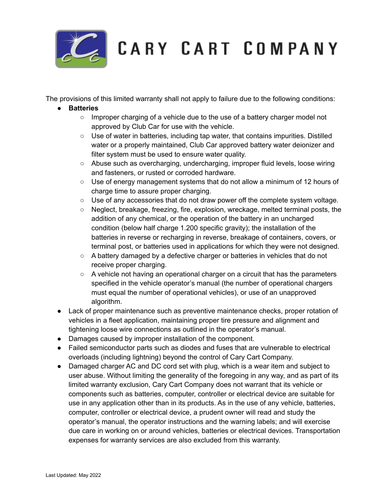

CARY CART COMPANY

The provisions of this limited warranty shall not apply to failure due to the following conditions:

- **● Batteries**
	- $\circ$  Improper charging of a vehicle due to the use of a battery charger model not approved by Club Car for use with the vehicle.
	- Use of water in batteries, including tap water, that contains impurities. Distilled water or a properly maintained, Club Car approved battery water deionizer and filter system must be used to ensure water quality.
	- Abuse such as overcharging, undercharging, improper fluid levels, loose wiring and fasteners, or rusted or corroded hardware.
	- Use of energy management systems that do not allow a minimum of 12 hours of charge time to assure proper charging.
	- Use of any accessories that do not draw power off the complete system voltage.
	- Neglect, breakage, freezing, fire, explosion, wreckage, melted terminal posts, the addition of any chemical, or the operation of the battery in an uncharged condition (below half charge 1.200 specific gravity); the installation of the batteries in reverse or recharging in reverse, breakage of containers, covers, or terminal post, or batteries used in applications for which they were not designed.
	- $\circ$  A battery damaged by a defective charger or batteries in vehicles that do not receive proper charging.
	- $\circ$  A vehicle not having an operational charger on a circuit that has the parameters specified in the vehicle operator's manual (the number of operational chargers must equal the number of operational vehicles), or use of an unapproved algorithm.
- Lack of proper maintenance such as preventive maintenance checks, proper rotation of vehicles in a fleet application, maintaining proper tire pressure and alignment and tightening loose wire connections as outlined in the operator's manual.
- Damages caused by improper installation of the component.
- Failed semiconductor parts such as diodes and fuses that are vulnerable to electrical overloads (including lightning) beyond the control of Cary Cart Company.
- Damaged charger AC and DC cord set with plug, which is a wear item and subject to user abuse. Without limiting the generality of the foregoing in any way, and as part of its limited warranty exclusion, Cary Cart Company does not warrant that its vehicle or components such as batteries, computer, controller or electrical device are suitable for use in any application other than in its products. As in the use of any vehicle, batteries, computer, controller or electrical device, a prudent owner will read and study the operator's manual, the operator instructions and the warning labels; and will exercise due care in working on or around vehicles, batteries or electrical devices. Transportation expenses for warranty services are also excluded from this warranty.